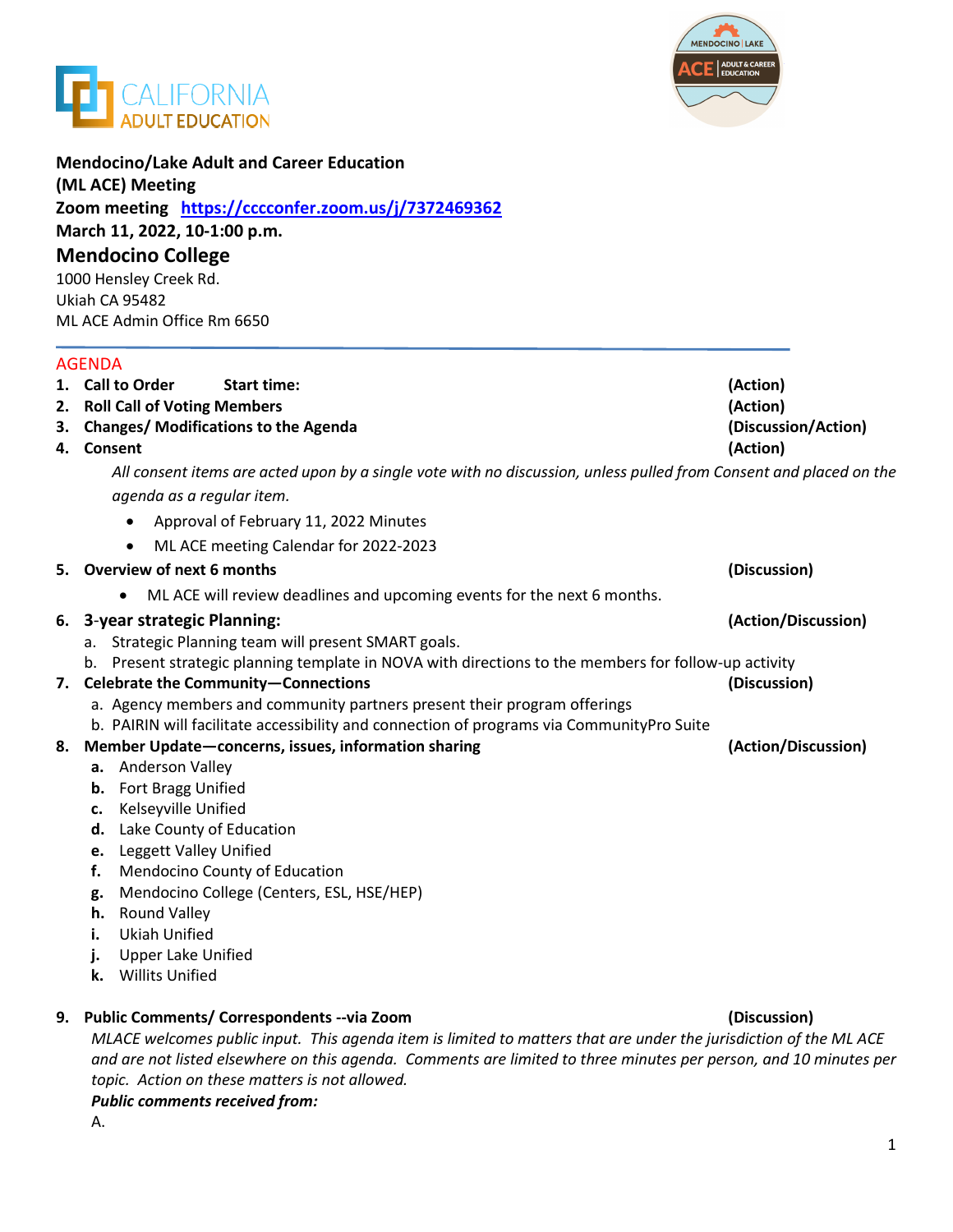



| <b>Mendocino/Lake Adult and Career Education</b><br>(ML ACE) Meeting<br>Zoom meeting https://cccconfer.zoom.us/j/7372469362<br>March 11, 2022, 10-1:00 p.m.<br><b>Mendocino College</b><br>1000 Hensley Creek Rd.<br>Ukiah CA 95482 |                                                                                                                        |                     |    |                                             |                     |
|-------------------------------------------------------------------------------------------------------------------------------------------------------------------------------------------------------------------------------------|------------------------------------------------------------------------------------------------------------------------|---------------------|----|---------------------------------------------|---------------------|
|                                                                                                                                                                                                                                     |                                                                                                                        |                     |    | ML ACE Admin Office Rm 6650                 |                     |
|                                                                                                                                                                                                                                     |                                                                                                                        |                     |    | <b>AGENDA</b>                               |                     |
|                                                                                                                                                                                                                                     |                                                                                                                        |                     |    | 1. Call to Order<br><b>Start time:</b>      | (Action)            |
|                                                                                                                                                                                                                                     |                                                                                                                        |                     |    | 2. Roll Call of Voting Members              | (Action)            |
|                                                                                                                                                                                                                                     |                                                                                                                        |                     | 3. | <b>Changes/ Modifications to the Agenda</b> | (Discussion/Action) |
|                                                                                                                                                                                                                                     |                                                                                                                        |                     |    | 4. Consent                                  | (Action)            |
|                                                                                                                                                                                                                                     | All consent items are acted upon by a single vote with no discussion, unless pulled from Consent and placed on the     |                     |    |                                             |                     |
|                                                                                                                                                                                                                                     | agenda as a regular item.                                                                                              |                     |    |                                             |                     |
|                                                                                                                                                                                                                                     | Approval of February 11, 2022 Minutes<br>$\bullet$                                                                     |                     |    |                                             |                     |
|                                                                                                                                                                                                                                     | ML ACE meeting Calendar for 2022-2023<br>$\bullet$                                                                     |                     |    |                                             |                     |
|                                                                                                                                                                                                                                     | 5. Overview of next 6 months                                                                                           | (Discussion)        |    |                                             |                     |
|                                                                                                                                                                                                                                     | ML ACE will review deadlines and upcoming events for the next 6 months.<br>$\bullet$                                   |                     |    |                                             |                     |
|                                                                                                                                                                                                                                     | 6. 3-year strategic Planning:                                                                                          | (Action/Discussion) |    |                                             |                     |
|                                                                                                                                                                                                                                     | a. Strategic Planning team will present SMART goals.                                                                   |                     |    |                                             |                     |
|                                                                                                                                                                                                                                     | b. Present strategic planning template in NOVA with directions to the members for follow-up activity                   |                     |    |                                             |                     |
|                                                                                                                                                                                                                                     | 7. Celebrate the Community-Connections                                                                                 | (Discussion)        |    |                                             |                     |
|                                                                                                                                                                                                                                     | a. Agency members and community partners present their program offerings                                               |                     |    |                                             |                     |
|                                                                                                                                                                                                                                     | b. PAIRIN will facilitate accessibility and connection of programs via CommunityPro Suite                              |                     |    |                                             |                     |
|                                                                                                                                                                                                                                     | 8. Member Update-concerns, issues, information sharing<br>a. Anderson Valley                                           | (Action/Discussion) |    |                                             |                     |
|                                                                                                                                                                                                                                     | Fort Bragg Unified<br>b.                                                                                               |                     |    |                                             |                     |
|                                                                                                                                                                                                                                     | Kelseyville Unified<br>c.                                                                                              |                     |    |                                             |                     |
|                                                                                                                                                                                                                                     | Lake County of Education<br>d.                                                                                         |                     |    |                                             |                     |
|                                                                                                                                                                                                                                     | Leggett Valley Unified<br>e.                                                                                           |                     |    |                                             |                     |
|                                                                                                                                                                                                                                     | Mendocino County of Education<br>f.                                                                                    |                     |    |                                             |                     |
|                                                                                                                                                                                                                                     | Mendocino College (Centers, ESL, HSE/HEP)<br>g.                                                                        |                     |    |                                             |                     |
|                                                                                                                                                                                                                                     | <b>Round Valley</b><br>h.                                                                                              |                     |    |                                             |                     |
|                                                                                                                                                                                                                                     | <b>Ukiah Unified</b><br>i.                                                                                             |                     |    |                                             |                     |
|                                                                                                                                                                                                                                     | <b>Upper Lake Unified</b>                                                                                              |                     |    |                                             |                     |
|                                                                                                                                                                                                                                     | <b>Willits Unified</b><br>k.                                                                                           |                     |    |                                             |                     |
|                                                                                                                                                                                                                                     | 9. Public Comments/ Correspondents -- via Zoom                                                                         | (Discussion)        |    |                                             |                     |
|                                                                                                                                                                                                                                     | $MLMCF$ uploance public input. This appeals it on is limited to matters that are under the juriediction of the $MLMCF$ |                     |    |                                             |                     |

*MLACE welcomes public input. This agenda item is limited to matters that are under the jurisdiction of the ML ACE and are not listed elsewhere on this agenda. Comments are limited to three minutes per person, and 10 minutes per topic. Action on these matters is not allowed. Public comments received from:* 

A.